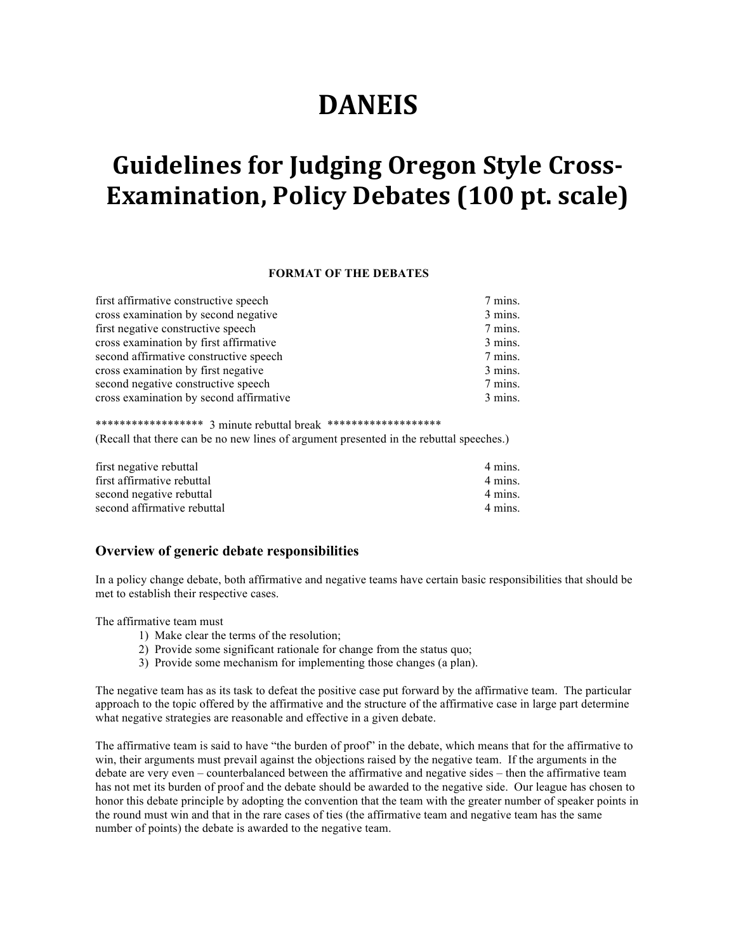# **DANEIS**

# **Guidelines for Judging Oregon Style Cross-Examination, Policy Debates (100 pt. scale)**

#### **FORMAT OF THE DEBATES**

| 7 mins. |
|---------|
| 3 mins. |
| 7 mins. |
| 3 mins. |
| 7 mins. |
| 3 mins. |
| 7 mins. |
| 3 mins. |
|         |

\*\*\*\*\*\*\*\*\*\*\*\*\*\*\*\*\*\* 3 minute rebuttal break \*\*\*\*\*\*\*\*\*\*\*\*\*\*\*\*\*\*\*\* (Recall that there can be no new lines of argument presented in the rebuttal speeches.)

| first negative rebuttal     | 4 mins. |
|-----------------------------|---------|
| first affirmative rebuttal  | 4 mins. |
| second negative rebuttal    | 4 mins. |
| second affirmative rebuttal | 4 mins. |
|                             |         |

#### **Overview of generic debate responsibilities**

In a policy change debate, both affirmative and negative teams have certain basic responsibilities that should be met to establish their respective cases.

The affirmative team must

- 1) Make clear the terms of the resolution;
- 2) Provide some significant rationale for change from the status quo;
- 3) Provide some mechanism for implementing those changes (a plan).

The negative team has as its task to defeat the positive case put forward by the affirmative team. The particular approach to the topic offered by the affirmative and the structure of the affirmative case in large part determine what negative strategies are reasonable and effective in a given debate.

The affirmative team is said to have "the burden of proof" in the debate, which means that for the affirmative to win, their arguments must prevail against the objections raised by the negative team. If the arguments in the debate are very even – counterbalanced between the affirmative and negative sides – then the affirmative team has not met its burden of proof and the debate should be awarded to the negative side. Our league has chosen to honor this debate principle by adopting the convention that the team with the greater number of speaker points in the round must win and that in the rare cases of ties (the affirmative team and negative team has the same number of points) the debate is awarded to the negative team.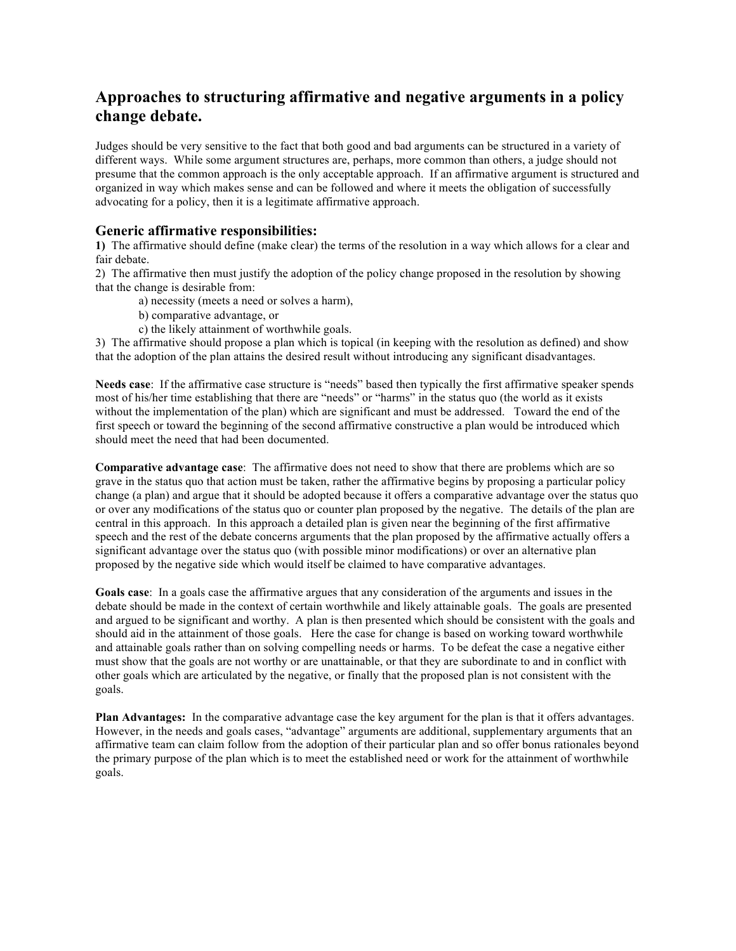## **Approaches to structuring affirmative and negative arguments in a policy change debate.**

Judges should be very sensitive to the fact that both good and bad arguments can be structured in a variety of different ways. While some argument structures are, perhaps, more common than others, a judge should not presume that the common approach is the only acceptable approach. If an affirmative argument is structured and organized in way which makes sense and can be followed and where it meets the obligation of successfully advocating for a policy, then it is a legitimate affirmative approach.

### **Generic affirmative responsibilities:**

**1)** The affirmative should define (make clear) the terms of the resolution in a way which allows for a clear and fair debate.

2) The affirmative then must justify the adoption of the policy change proposed in the resolution by showing that the change is desirable from:

a) necessity (meets a need or solves a harm),

b) comparative advantage, or

c) the likely attainment of worthwhile goals.

3) The affirmative should propose a plan which is topical (in keeping with the resolution as defined) and show that the adoption of the plan attains the desired result without introducing any significant disadvantages.

**Needs case**: If the affirmative case structure is "needs" based then typically the first affirmative speaker spends most of his/her time establishing that there are "needs" or "harms" in the status quo (the world as it exists without the implementation of the plan) which are significant and must be addressed. Toward the end of the first speech or toward the beginning of the second affirmative constructive a plan would be introduced which should meet the need that had been documented.

**Comparative advantage case**: The affirmative does not need to show that there are problems which are so grave in the status quo that action must be taken, rather the affirmative begins by proposing a particular policy change (a plan) and argue that it should be adopted because it offers a comparative advantage over the status quo or over any modifications of the status quo or counter plan proposed by the negative. The details of the plan are central in this approach. In this approach a detailed plan is given near the beginning of the first affirmative speech and the rest of the debate concerns arguments that the plan proposed by the affirmative actually offers a significant advantage over the status quo (with possible minor modifications) or over an alternative plan proposed by the negative side which would itself be claimed to have comparative advantages.

**Goals case**: In a goals case the affirmative argues that any consideration of the arguments and issues in the debate should be made in the context of certain worthwhile and likely attainable goals. The goals are presented and argued to be significant and worthy. A plan is then presented which should be consistent with the goals and should aid in the attainment of those goals. Here the case for change is based on working toward worthwhile and attainable goals rather than on solving compelling needs or harms. To be defeat the case a negative either must show that the goals are not worthy or are unattainable, or that they are subordinate to and in conflict with other goals which are articulated by the negative, or finally that the proposed plan is not consistent with the goals.

**Plan Advantages:** In the comparative advantage case the key argument for the plan is that it offers advantages. However, in the needs and goals cases, "advantage" arguments are additional, supplementary arguments that an affirmative team can claim follow from the adoption of their particular plan and so offer bonus rationales beyond the primary purpose of the plan which is to meet the established need or work for the attainment of worthwhile goals.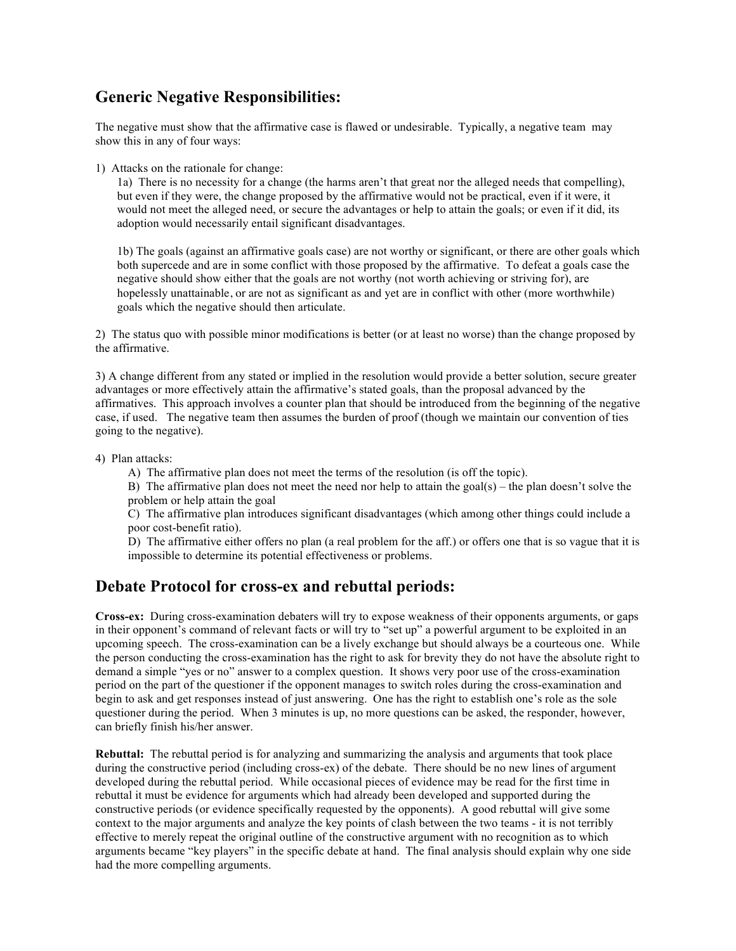## **Generic Negative Responsibilities:**

The negative must show that the affirmative case is flawed or undesirable. Typically, a negative team may show this in any of four ways:

1) Attacks on the rationale for change:

1a) There is no necessity for a change (the harms aren't that great nor the alleged needs that compelling), but even if they were, the change proposed by the affirmative would not be practical, even if it were, it would not meet the alleged need, or secure the advantages or help to attain the goals; or even if it did, its adoption would necessarily entail significant disadvantages.

1b) The goals (against an affirmative goals case) are not worthy or significant, or there are other goals which both supercede and are in some conflict with those proposed by the affirmative. To defeat a goals case the negative should show either that the goals are not worthy (not worth achieving or striving for), are hopelessly unattainable, or are not as significant as and yet are in conflict with other (more worthwhile) goals which the negative should then articulate.

2) The status quo with possible minor modifications is better (or at least no worse) than the change proposed by the affirmative.

3) A change different from any stated or implied in the resolution would provide a better solution, secure greater advantages or more effectively attain the affirmative's stated goals, than the proposal advanced by the affirmatives. This approach involves a counter plan that should be introduced from the beginning of the negative case, if used. The negative team then assumes the burden of proof (though we maintain our convention of ties going to the negative).

4) Plan attacks:

A) The affirmative plan does not meet the terms of the resolution (is off the topic).

B) The affirmative plan does not meet the need nor help to attain the goal(s) – the plan doesn't solve the problem or help attain the goal

C) The affirmative plan introduces significant disadvantages (which among other things could include a poor cost-benefit ratio).

D) The affirmative either offers no plan (a real problem for the aff.) or offers one that is so vague that it is impossible to determine its potential effectiveness or problems.

## **Debate Protocol for cross-ex and rebuttal periods:**

**Cross-ex:** During cross-examination debaters will try to expose weakness of their opponents arguments, or gaps in their opponent's command of relevant facts or will try to "set up" a powerful argument to be exploited in an upcoming speech. The cross-examination can be a lively exchange but should always be a courteous one. While the person conducting the cross-examination has the right to ask for brevity they do not have the absolute right to demand a simple "yes or no" answer to a complex question. It shows very poor use of the cross-examination period on the part of the questioner if the opponent manages to switch roles during the cross-examination and begin to ask and get responses instead of just answering. One has the right to establish one's role as the sole questioner during the period. When 3 minutes is up, no more questions can be asked, the responder, however, can briefly finish his/her answer.

**Rebuttal:** The rebuttal period is for analyzing and summarizing the analysis and arguments that took place during the constructive period (including cross-ex) of the debate. There should be no new lines of argument developed during the rebuttal period. While occasional pieces of evidence may be read for the first time in rebuttal it must be evidence for arguments which had already been developed and supported during the constructive periods (or evidence specifically requested by the opponents). A good rebuttal will give some context to the major arguments and analyze the key points of clash between the two teams - it is not terribly effective to merely repeat the original outline of the constructive argument with no recognition as to which arguments became "key players" in the specific debate at hand. The final analysis should explain why one side had the more compelling arguments.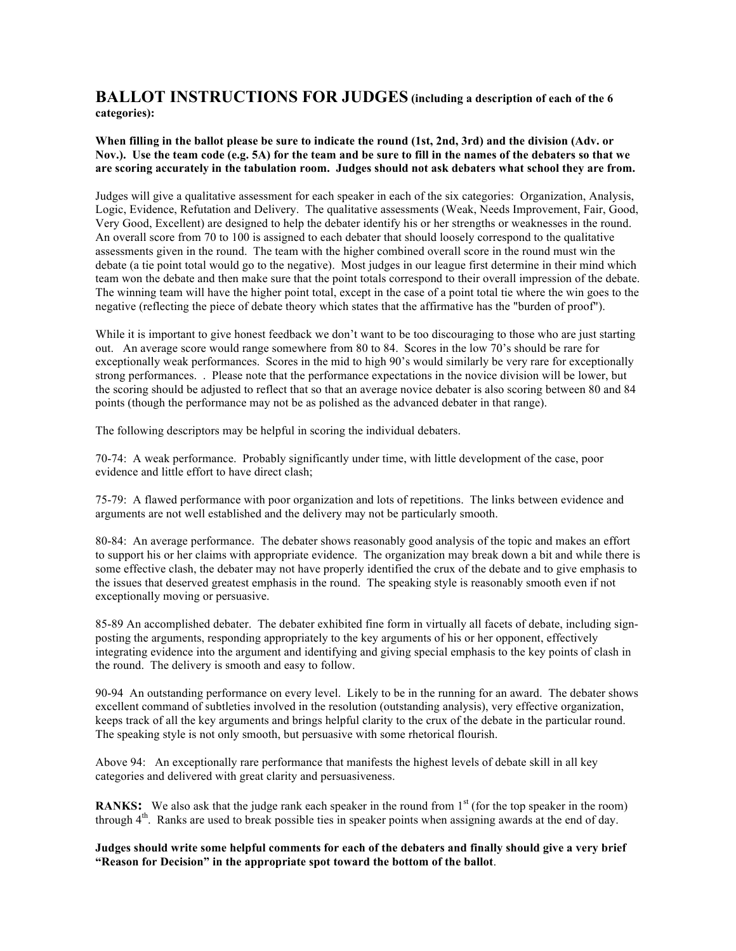### **BALLOT INSTRUCTIONS FOR JUDGES (including a description of each of the 6 categories):**

**When filling in the ballot please be sure to indicate the round (1st, 2nd, 3rd) and the division (Adv. or Nov.). Use the team code (e.g. 5A) for the team and be sure to fill in the names of the debaters so that we are scoring accurately in the tabulation room. Judges should not ask debaters what school they are from.**

Judges will give a qualitative assessment for each speaker in each of the six categories: Organization, Analysis, Logic, Evidence, Refutation and Delivery. The qualitative assessments (Weak, Needs Improvement, Fair, Good, Very Good, Excellent) are designed to help the debater identify his or her strengths or weaknesses in the round. An overall score from 70 to 100 is assigned to each debater that should loosely correspond to the qualitative assessments given in the round. The team with the higher combined overall score in the round must win the debate (a tie point total would go to the negative). Most judges in our league first determine in their mind which team won the debate and then make sure that the point totals correspond to their overall impression of the debate. The winning team will have the higher point total, except in the case of a point total tie where the win goes to the negative (reflecting the piece of debate theory which states that the affirmative has the "burden of proof").

While it is important to give honest feedback we don't want to be too discouraging to those who are just starting out. An average score would range somewhere from 80 to 84. Scores in the low 70's should be rare for exceptionally weak performances. Scores in the mid to high 90's would similarly be very rare for exceptionally strong performances. . Please note that the performance expectations in the novice division will be lower, but the scoring should be adjusted to reflect that so that an average novice debater is also scoring between 80 and 84 points (though the performance may not be as polished as the advanced debater in that range).

The following descriptors may be helpful in scoring the individual debaters.

70-74: A weak performance. Probably significantly under time, with little development of the case, poor evidence and little effort to have direct clash;

75-79: A flawed performance with poor organization and lots of repetitions. The links between evidence and arguments are not well established and the delivery may not be particularly smooth.

80-84: An average performance. The debater shows reasonably good analysis of the topic and makes an effort to support his or her claims with appropriate evidence. The organization may break down a bit and while there is some effective clash, the debater may not have properly identified the crux of the debate and to give emphasis to the issues that deserved greatest emphasis in the round. The speaking style is reasonably smooth even if not exceptionally moving or persuasive.

85-89 An accomplished debater. The debater exhibited fine form in virtually all facets of debate, including signposting the arguments, responding appropriately to the key arguments of his or her opponent, effectively integrating evidence into the argument and identifying and giving special emphasis to the key points of clash in the round. The delivery is smooth and easy to follow.

90-94 An outstanding performance on every level. Likely to be in the running for an award. The debater shows excellent command of subtleties involved in the resolution (outstanding analysis), very effective organization, keeps track of all the key arguments and brings helpful clarity to the crux of the debate in the particular round. The speaking style is not only smooth, but persuasive with some rhetorical flourish.

Above 94: An exceptionally rare performance that manifests the highest levels of debate skill in all key categories and delivered with great clarity and persuasiveness.

**RANKS:** We also ask that the judge rank each speaker in the round from 1<sup>st</sup> (for the top speaker in the room) through 4<sup>th</sup>. Ranks are used to break possible ties in speaker points when assigning awards at the end of day.

**Judges should write some helpful comments for each of the debaters and finally should give a very brief "Reason for Decision" in the appropriate spot toward the bottom of the ballot**.